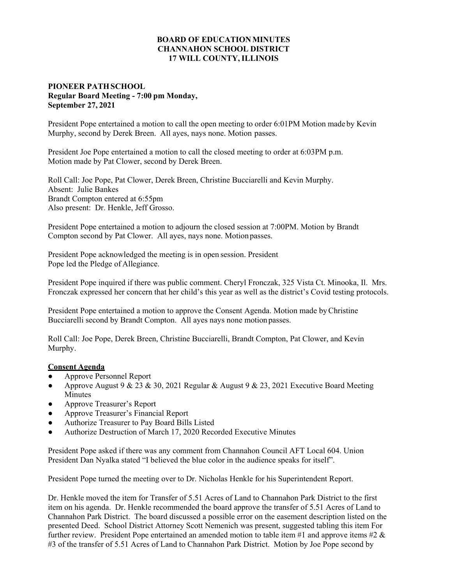## **BOARD OF EDUCATION MINUTES CHANNAHON SCHOOL DISTRICT 17 WILL COUNTY, ILLINOIS**

## **PIONEER PATH SCHOOL Regular Board Meeting - 7:00 pm Monday, September 27, 2021**

President Pope entertained a motion to call the open meeting to order 6:01PM Motion made by Kevin Murphy, second by Derek Breen. All ayes, nays none. Motion passes.

President Joe Pope entertained a motion to call the closed meeting to order at 6:03PM p.m. Motion made by Pat Clower, second by Derek Breen.

Roll Call: Joe Pope, Pat Clower, Derek Breen, Christine Bucciarelli and Kevin Murphy. Absent: Julie Bankes Brandt Compton entered at 6:55pm Also present: Dr. Henkle, Jeff Grosso.

President Pope entertained a motion to adjourn the closed session at 7:00PM. Motion by Brandt Compton second by Pat Clower. All ayes, nays none. Motion passes.

President Pope acknowledged the meeting is in open session. President Pope led the Pledge of Allegiance.

President Pope inquired if there was public comment. Cheryl Fronczak, 325 Vista Ct. Minooka, Il. Mrs. Fronczak expressed her concern that her child's this year as well as the district's Covid testing protocols.

President Pope entertained a motion to approve the Consent Agenda. Motion made by Christine Bucciarelli second by Brandt Compton. All ayes nays none motion passes.

Roll Call: Joe Pope, Derek Breen, Christine Bucciarelli, Brandt Compton, Pat Clower, and Kevin Murphy.

## **Consent Agenda**

- **●** Approve Personnel Report
- **●** Approve August 9 & 23 & 30, 2021 Regular & August 9 & 23, 2021 Executive Board Meeting Minutes
- **●** Approve Treasurer's Report
- **●** Approve Treasurer's Financial Report
- **●** Authorize Treasurer to Pay Board Bills Listed
- **●** Authorize Destruction of March 17, 2020 Recorded Executive Minutes

President Pope asked if there was any comment from Channahon Council AFT Local 604. Union President Dan Nyalka stated "I believed the blue color in the audience speaks for itself".

President Pope turned the meeting over to Dr. Nicholas Henkle for his Superintendent Report.

Dr. Henkle moved the item for Transfer of 5.51 Acres of Land to Channahon Park District to the first item on his agenda. Dr. Henkle recommended the board approve the transfer of 5.51 Acres of Land to Channahon Park District. The board discussed a possible error on the easement description listed on the presented Deed. School District Attorney Scott Nemenich was present, suggested tabling this item For further review. President Pope entertained an amended motion to table item #1 and approve items #2 & #3 of the transfer of 5.51 Acres of Land to Channahon Park District. Motion by Joe Pope second by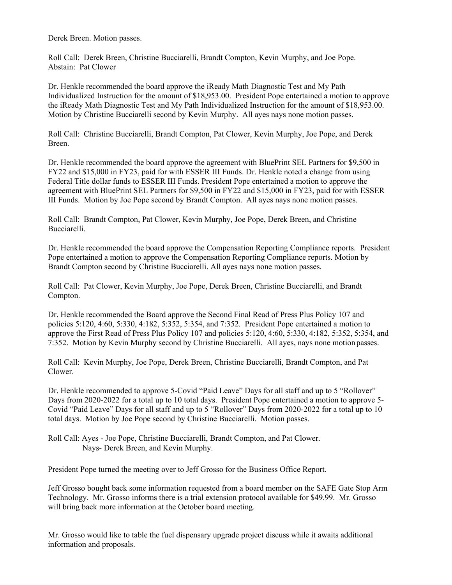Derek Breen. Motion passes.

Roll Call: Derek Breen, Christine Bucciarelli, Brandt Compton, Kevin Murphy, and Joe Pope. Abstain: Pat Clower

Dr. Henkle recommended the board approve the iReady Math Diagnostic Test and My Path Individualized Instruction for the amount of \$18,953.00. President Pope entertained a motion to approve the iReady Math Diagnostic Test and My Path Individualized Instruction for the amount of \$18,953.00. Motion by Christine Bucciarelli second by Kevin Murphy. All ayes nays none motion passes.

Roll Call: Christine Bucciarelli, Brandt Compton, Pat Clower, Kevin Murphy, Joe Pope, and Derek Breen.

Dr. Henkle recommended the board approve the agreement with BluePrint SEL Partners for \$9,500 in FY22 and \$15,000 in FY23, paid for with ESSER III Funds. Dr. Henkle noted a change from using Federal Title dollar funds to ESSER III Funds. President Pope entertained a motion to approve the agreement with BluePrint SEL Partners for \$9,500 in FY22 and \$15,000 in FY23, paid for with ESSER III Funds. Motion by Joe Pope second by Brandt Compton. All ayes nays none motion passes.

Roll Call: Brandt Compton, Pat Clower, Kevin Murphy, Joe Pope, Derek Breen, and Christine Bucciarelli.

Dr. Henkle recommended the board approve the Compensation Reporting Compliance reports. President Pope entertained a motion to approve the Compensation Reporting Compliance reports. Motion by Brandt Compton second by Christine Bucciarelli. All ayes nays none motion passes.

Roll Call: Pat Clower, Kevin Murphy, Joe Pope, Derek Breen, Christine Bucciarelli, and Brandt Compton.

Dr. Henkle recommended the Board approve the Second Final Read of Press Plus Policy 107 and policies 5:120, 4:60, 5:330, 4:182, 5:352, 5:354, and 7:352. President Pope entertained a motion to approve the First Read of Press Plus Policy 107 and policies 5:120, 4:60, 5:330, 4:182, 5:352, 5:354, and 7:352. Motion by Kevin Murphy second by Christine Bucciarelli. All ayes, nays none motion passes.

Roll Call: Kevin Murphy, Joe Pope, Derek Breen, Christine Bucciarelli, Brandt Compton, and Pat Clower.

Dr. Henkle recommended to approve 5-Covid "Paid Leave" Days for all staff and up to 5 "Rollover" Days from 2020-2022 for a total up to 10 total days. President Pope entertained a motion to approve 5- Covid "Paid Leave" Days for all staff and up to 5 "Rollover" Days from 2020-2022 for a total up to 10 total days. Motion by Joe Pope second by Christine Bucciarelli. Motion passes.

Roll Call: Ayes - Joe Pope, Christine Bucciarelli, Brandt Compton, and Pat Clower. Nays- Derek Breen, and Kevin Murphy.

President Pope turned the meeting over to Jeff Grosso for the Business Office Report.

Jeff Grosso bought back some information requested from a board member on the SAFE Gate Stop Arm Technology. Mr. Grosso informs there is a trial extension protocol available for \$49.99. Mr. Grosso will bring back more information at the October board meeting.

Mr. Grosso would like to table the fuel dispensary upgrade project discuss while it awaits additional information and proposals.